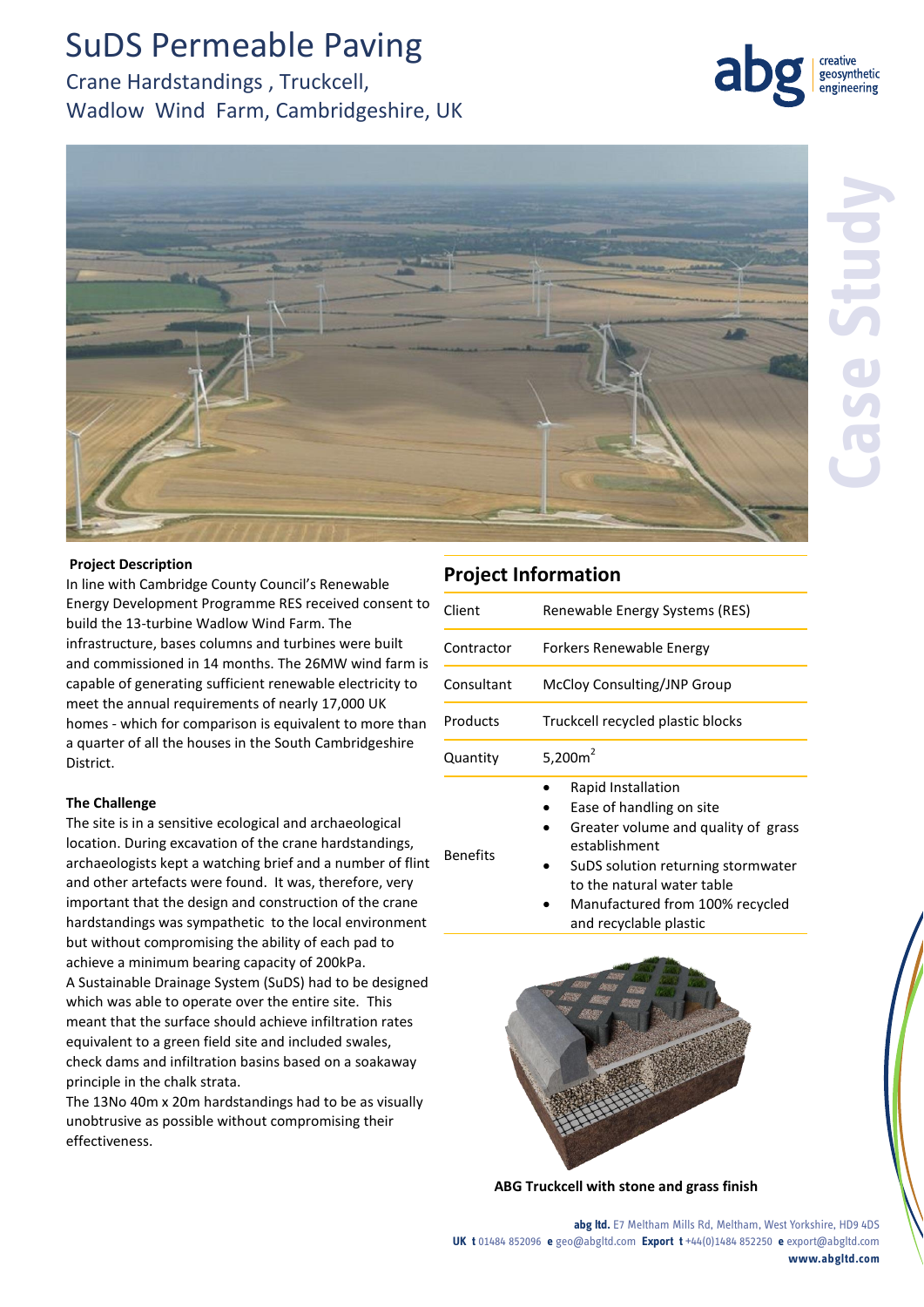# SuDS Permeable Paving

Crane Hardstandings , Truckcell, Wadlow Wind Farm, Cambridgeshire, UK



geosynthetic engineering

### **Project Description**

In line with Cambridge County Council's Renewable Energy Development Programme RES received consent to build the 13-turbine Wadlow Wind Farm. The infrastructure, bases columns and turbines were built and commissioned in 14 months. The 26MW wind farm is capable of generating sufficient renewable electricity to meet the annual requirements of nearly 17,000 UK homes - which for comparison is equivalent to more than a quarter of all the houses in the South Cambridgeshire District.

## **The Challenge**

The site is in a sensitive ecological and archaeological location. During excavation of the crane hardstandings, archaeologists kept a watching brief and a number of flint and other artefacts were found. It was, therefore, very important that the design and construction of the crane hardstandings was sympathetic to the local environment but without compromising the ability of each pad to achieve a minimum bearing capacity of 200kPa. A Sustainable Drainage System (SuDS) had to be designed which was able to operate over the entire site. This meant that the surface should achieve infiltration rates equivalent to a green field site and included swales, check dams and infiltration basins based on a soakaway principle in the chalk strata.

The 13No 40m x 20m hardstandings had to be as visually unobtrusive as possible without compromising their effectiveness.

## **Project Information**

| Client          | Renewable Energy Systems (RES)                                                                                                                                                                                                          |
|-----------------|-----------------------------------------------------------------------------------------------------------------------------------------------------------------------------------------------------------------------------------------|
| Contractor      | Forkers Renewable Energy                                                                                                                                                                                                                |
| Consultant      | McCloy Consulting/JNP Group                                                                                                                                                                                                             |
| Products        | Truckcell recycled plastic blocks                                                                                                                                                                                                       |
| Quantity        | 5,200 $m2$                                                                                                                                                                                                                              |
| <b>Benefits</b> | Rapid Installation<br>Ease of handling on site<br>Greater volume and quality of grass<br>establishment<br>SuDS solution returning stormwater<br>to the natural water table<br>Manufactured from 100% recycled<br>and recyclable plastic |



**ABG Truckcell with stone and grass finish** 

**abg ltd.** E7 Meltham Mills Rd, Meltham, West Yorkshire, HD9 4DS **UK t** 01484 852096 **e** geo@abgltd.com **Export t** +44(0)1484 852250 **e** export@abgltd.com **www.abgltd.com**